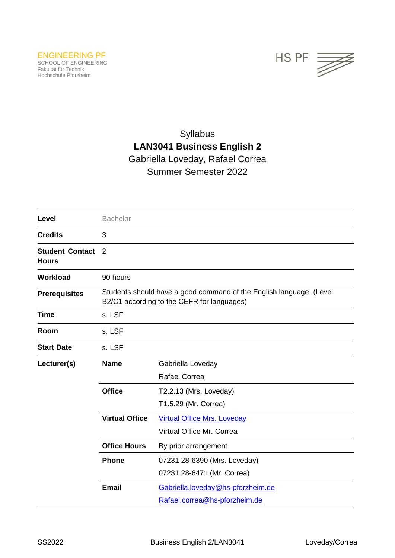

# Syllabus **LAN3041 Business English 2** Gabriella Loveday, Rafael Correa Summer Semester 2022

| Level                                  | <b>Bachelor</b>                                                                                                   |                                                                    |  |
|----------------------------------------|-------------------------------------------------------------------------------------------------------------------|--------------------------------------------------------------------|--|
| <b>Credits</b>                         | 3                                                                                                                 |                                                                    |  |
| <b>Student Contact</b><br><b>Hours</b> | 2                                                                                                                 |                                                                    |  |
| <b>Workload</b>                        | 90 hours                                                                                                          |                                                                    |  |
| <b>Prerequisites</b>                   | Students should have a good command of the English language. (Level<br>B2/C1 according to the CEFR for languages) |                                                                    |  |
| <b>Time</b>                            | s. LSF                                                                                                            |                                                                    |  |
| Room                                   | s. LSF                                                                                                            |                                                                    |  |
| <b>Start Date</b>                      | s. LSF                                                                                                            |                                                                    |  |
| Lecturer(s)                            | <b>Name</b>                                                                                                       | Gabriella Loveday<br><b>Rafael Correa</b>                          |  |
|                                        | <b>Office</b>                                                                                                     | T2.2.13 (Mrs. Loveday)<br>T1.5.29 (Mr. Correa)                     |  |
|                                        | <b>Virtual Office</b>                                                                                             | <b>Virtual Office Mrs. Loveday</b><br>Virtual Office Mr. Correa    |  |
|                                        | <b>Office Hours</b>                                                                                               | By prior arrangement                                               |  |
|                                        | <b>Phone</b>                                                                                                      | 07231 28-6390 (Mrs. Loveday)<br>07231 28-6471 (Mr. Correa)         |  |
|                                        | <b>Email</b>                                                                                                      | Gabriella.loveday@hs-pforzheim.de<br>Rafael.correa@hs-pforzheim.de |  |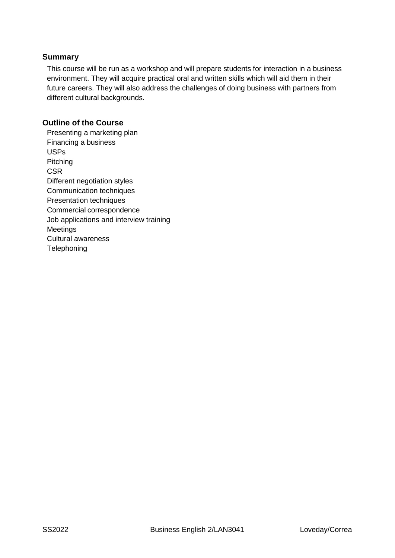#### **Summary**

This course will be run as a workshop and will prepare students for interaction in a business environment. They will acquire practical oral and written skills which will aid them in their future careers. They will also address the challenges of doing business with partners from different cultural backgrounds.

### **Outline of the Course**

Presenting a marketing plan Financing a business USPs Pitching **CSR** Different negotiation styles Communication techniques Presentation techniques Commercial correspondence Job applications and interview training Meetings Cultural awareness **Telephoning**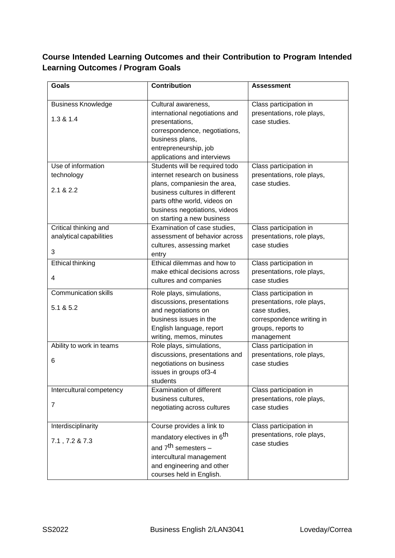## **Course Intended Learning Outcomes and their Contribution to Program Intended Learning Outcomes / Program Goals**

| <b>Goals</b>                           | <b>Contribution</b>                                                                                                                                           | <b>Assessment</b>                                             |
|----------------------------------------|---------------------------------------------------------------------------------------------------------------------------------------------------------------|---------------------------------------------------------------|
| <b>Business Knowledge</b><br>1.3 & 1.4 | Cultural awareness,<br>international negotiations and                                                                                                         | Class participation in<br>presentations, role plays,          |
|                                        | presentations,<br>correspondence, negotiations,<br>business plans,<br>entrepreneurship, job<br>applications and interviews                                    | case studies.                                                 |
| Use of information                     | Students will be required todo                                                                                                                                | Class participation in                                        |
| technology                             | internet research on business                                                                                                                                 | presentations, role plays,                                    |
| 2.1 & 2.2                              | plans, companiesin the area,<br>business cultures in different<br>parts ofthe world, videos on<br>business negotiations, videos<br>on starting a new business | case studies.                                                 |
| Critical thinking and                  | Examination of case studies,                                                                                                                                  | Class participation in                                        |
| analytical capabilities                | assessment of behavior across<br>cultures, assessing market                                                                                                   | presentations, role plays,<br>case studies                    |
| 3                                      | entry                                                                                                                                                         |                                                               |
| Ethical thinking                       | Ethical dilemmas and how to                                                                                                                                   | Class participation in                                        |
| 4                                      | make ethical decisions across<br>cultures and companies                                                                                                       | presentations, role plays,<br>case studies                    |
| <b>Communication skills</b>            | Role plays, simulations,                                                                                                                                      | Class participation in                                        |
| 5.1 & 5.2                              | discussions, presentations<br>and negotiations on                                                                                                             | presentations, role plays,<br>case studies,                   |
|                                        | business issues in the<br>English language, report<br>writing, memos, minutes                                                                                 | correspondence writing in<br>groups, reports to<br>management |
| Ability to work in teams               | Role plays, simulations,                                                                                                                                      | Class participation in                                        |
|                                        | discussions, presentations and                                                                                                                                | presentations, role plays,                                    |
| 6                                      | negotiations on business<br>issues in groups of3-4<br>students                                                                                                | case studies                                                  |
| Intercultural competency               | <b>Examination of different</b>                                                                                                                               | Class participation in                                        |
| $\overline{7}$                         | business cultures,<br>negotiating across cultures                                                                                                             | presentations, role plays,<br>case studies                    |
| Interdisciplinarity                    | Course provides a link to                                                                                                                                     | Class participation in                                        |
| 7.1, 7.2 & 7.3                         | mandatory electives in 6 <sup>th</sup>                                                                                                                        | presentations, role plays,<br>case studies                    |
|                                        | and 7 <sup>th</sup> semesters -                                                                                                                               |                                                               |
|                                        | intercultural management                                                                                                                                      |                                                               |
|                                        | and engineering and other<br>courses held in English.                                                                                                         |                                                               |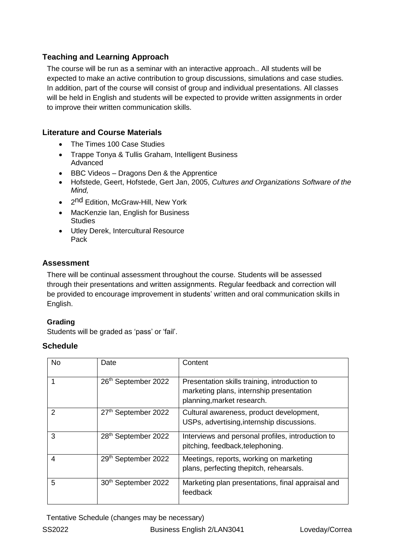## **Teaching and Learning Approach**

The course will be run as a seminar with an interactive approach.. All students will be expected to make an active contribution to group discussions, simulations and case studies. In addition, part of the course will consist of group and individual presentations. All classes will be held in English and students will be expected to provide written assignments in order to improve their written communication skills.

## **Literature and Course Materials**

- The Times 100 Case Studies
- Trappe Tonya & Tullis Graham, Intelligent Business Advanced
- BBC Videos Dragons Den & the Apprentice
- Hofstede, Geert, Hofstede, Gert Jan, 2005, *Cultures and Organizations Software of the Mind,*
- 2<sup>nd</sup> Edition, McGraw-Hill, New York
- MacKenzie Ian, English for Business **Studies**
- Utley Derek, Intercultural Resource Pack

## **Assessment**

There will be continual assessment throughout the course. Students will be assessed through their presentations and written assignments. Regular feedback and correction will be provided to encourage improvement in students' written and oral communication skills in English.

### **Grading**

Students will be graded as 'pass' or 'fail'.

### **Schedule**

| <b>No</b>      | Date                            | Content                                                                                                                 |
|----------------|---------------------------------|-------------------------------------------------------------------------------------------------------------------------|
|                | 26th September 2022             | Presentation skills training, introduction to<br>marketing plans, internship presentation<br>planning, market research. |
| $\mathcal{P}$  | 27th September 2022             | Cultural awareness, product development,<br>USPs, advertising, internship discussions.                                  |
| 3              | 28 <sup>th</sup> September 2022 | Interviews and personal profiles, introduction to<br>pitching, feedback, telephoning.                                   |
| $\overline{4}$ | 29th September 2022             | Meetings, reports, working on marketing<br>plans, perfecting thepitch, rehearsals.                                      |
| 5              | 30 <sup>th</sup> September 2022 | Marketing plan presentations, final appraisal and<br>feedback                                                           |

Tentative Schedule (changes may be necessary)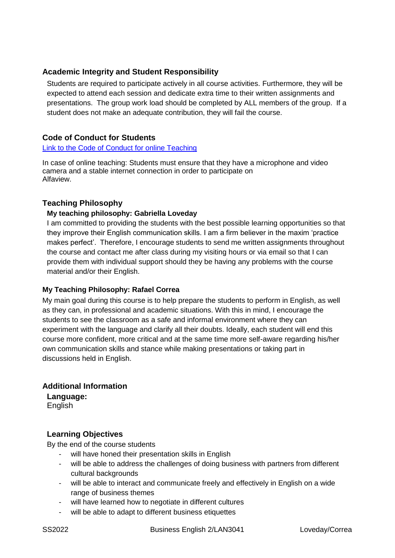## **Academic Integrity and Student Responsibility**

Students are required to participate actively in all course activities. Furthermore, they will be expected to attend each session and dedicate extra time to their written assignments and presentations. The group work load should be completed by ALL members of the group. If a student does not make an adequate contribution, they will fail the course.

## **Code of Conduct for Students**

#### [Link to the Code of Conduct for online Teaching](https://e-campus.hs-pforzheim.de/business_pf/digital_learning_tools_links)

In case of online teaching: Students must ensure that they have a microphone and video camera and a stable internet connection in order to participate on Alfaview.

#### **Teaching Philosophy**

#### **My teaching philosophy: Gabriella Loveday**

I am committed to providing the students with the best possible learning opportunities so that they improve their English communication skills. I am a firm believer in the maxim 'practice makes perfect'. Therefore, I encourage students to send me written assignments throughout the course and contact me after class during my visiting hours or via email so that I can provide them with individual support should they be having any problems with the course material and/or their English.

#### **My Teaching Philosophy: Rafael Correa**

My main goal during this course is to help prepare the students to perform in English, as well as they can, in professional and academic situations. With this in mind, I encourage the students to see the classroom as a safe and informal environment where they can experiment with the language and clarify all their doubts. Ideally, each student will end this course more confident, more critical and at the same time more self-aware regarding his/her own communication skills and stance while making presentations or taking part in discussions held in English.

### **Additional Information**

**Language:** English

### **Learning Objectives**

By the end of the course students

- will have honed their presentation skills in English
- will be able to address the challenges of doing business with partners from different cultural backgrounds
- will be able to interact and communicate freely and effectively in English on a wide range of business themes
- will have learned how to negotiate in different cultures
- will be able to adapt to different business etiquettes